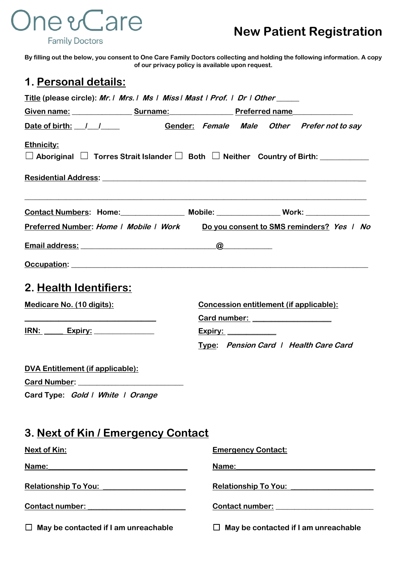# **One & Care**

**Family Doctors** 

**By filling out the below, you consent to One Care Family Doctors collecting and holding the following information. A copy of our privacy policy is available upon request.**

#### **1. Personal details:**

| <u>Title</u> (please circle): Mr. I Mrs. I Ms I Miss I Mast I Prof. I Dr I Other_____                             |                             |                           |  |                                                                                                                                                                                                                                |  |
|-------------------------------------------------------------------------------------------------------------------|-----------------------------|---------------------------|--|--------------------------------------------------------------------------------------------------------------------------------------------------------------------------------------------------------------------------------|--|
| Given name: Surname: Surname: Preferred name                                                                      |                             |                           |  |                                                                                                                                                                                                                                |  |
| Date of birth: 1 1 1 Gender: Female Male Other Prefer not to say                                                  |                             |                           |  |                                                                                                                                                                                                                                |  |
| <b>Ethnicity:</b><br>$\Box$ Aboriginal $\Box$ Torres Strait Islander $\Box$ Both $\Box$ Neither Country of Birth: |                             |                           |  |                                                                                                                                                                                                                                |  |
|                                                                                                                   |                             |                           |  |                                                                                                                                                                                                                                |  |
| Contact Numbers: Home: Mobile: Mobile: Work: Work:                                                                |                             |                           |  |                                                                                                                                                                                                                                |  |
| Preferred Number: Home   Mobile   Work Do you consent to SMS reminders? Yes   No                                  |                             |                           |  |                                                                                                                                                                                                                                |  |
|                                                                                                                   |                             |                           |  |                                                                                                                                                                                                                                |  |
|                                                                                                                   |                             |                           |  |                                                                                                                                                                                                                                |  |
| 2. Health Identifiers:<br>Medicare No. (10 digits):<br><u>IRN: Expiry: ______________</u>                         | <u>Expiry: ____________</u> |                           |  | Concession entitlement (if applicable):<br>Card number: ____________________<br>Type: Pension Card   Health Care Card                                                                                                          |  |
| <b>DVA Entitlement (if applicable):</b>                                                                           |                             |                           |  |                                                                                                                                                                                                                                |  |
| Card Type: Gold   White   Orange                                                                                  |                             |                           |  |                                                                                                                                                                                                                                |  |
| 3. <u>Next of Kin / Emergency Contact</u>                                                                         |                             |                           |  |                                                                                                                                                                                                                                |  |
| <b>Next of Kin:</b>                                                                                               |                             | <b>Emergency Contact:</b> |  |                                                                                                                                                                                                                                |  |
|                                                                                                                   |                             |                           |  | Name: Name and the state of the state of the state of the state of the state of the state of the state of the state of the state of the state of the state of the state of the state of the state of the state of the state of |  |
|                                                                                                                   |                             |                           |  | Relationship To You: Nellationship To You:                                                                                                                                                                                     |  |
|                                                                                                                   |                             |                           |  | Contact number:<br><u>Contact number:</u>                                                                                                                                                                                      |  |
| $\Box$ May be contacted if I am unreachable                                                                       |                             |                           |  | $\Box$ May be contacted if I am unreachable                                                                                                                                                                                    |  |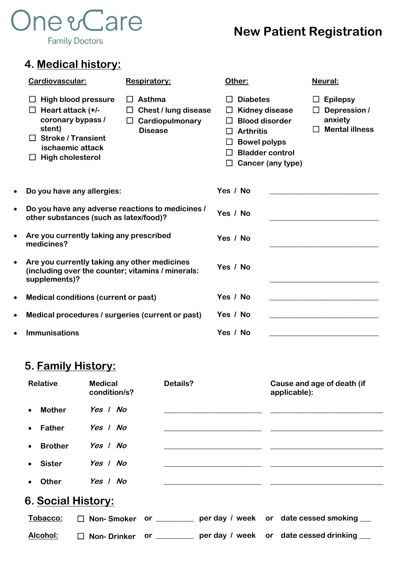# **One &Care Family Doctors**

## **New Patient Registration**

#### **4. Medical history:**

|                                                                    | Cardiovascular:                                                                                                                                                                 | Respiratory:                                                                          | Other:                                                                                                                                                      | <b>Neural:</b>                                                                |
|--------------------------------------------------------------------|---------------------------------------------------------------------------------------------------------------------------------------------------------------------------------|---------------------------------------------------------------------------------------|-------------------------------------------------------------------------------------------------------------------------------------------------------------|-------------------------------------------------------------------------------|
|                                                                    | <b>High blood pressure</b><br>Heart attack (+/-<br>coronary bypass /<br>stent)<br><b>Stroke / Transient</b><br>$\mathsf{L}$<br>ischaemic attack<br><b>High cholesterol</b><br>ப | Asthma<br>$\perp$<br><b>Chest / lung disease</b><br>Cardiopulmonary<br><b>Disease</b> | <b>Diabetes</b><br><b>Kidney disease</b><br><b>Blood disorder</b><br><b>Arthritis</b><br><b>Bowel polyps</b><br><b>Bladder control</b><br>Cancer (any type) | $\Box$ Epilepsy<br>Depression /<br>Ш<br>anxiety<br><b>Mental illness</b><br>П |
| $\bullet$                                                          | Do you have any allergies:                                                                                                                                                      |                                                                                       | Yes / No                                                                                                                                                    |                                                                               |
| $\bullet$                                                          | Do you have any adverse reactions to medicines /<br>other substances (such as latex/food)?                                                                                      |                                                                                       | Yes / No                                                                                                                                                    |                                                                               |
| Are you currently taking any prescribed<br>$\bullet$<br>medicines? |                                                                                                                                                                                 |                                                                                       | Yes / No                                                                                                                                                    |                                                                               |
| $\bullet$                                                          | Are you currently taking any other medicines<br>(including over the counter; vitamins / minerals:<br>supplements)?                                                              |                                                                                       | Yes / No                                                                                                                                                    |                                                                               |
| $\bullet$                                                          | Medical conditions (current or past)                                                                                                                                            |                                                                                       | Yes / No                                                                                                                                                    |                                                                               |
| $\bullet$                                                          | Medical procedures / surgeries (current or past)                                                                                                                                |                                                                                       | Yes / No                                                                                                                                                    |                                                                               |
| $\bullet$                                                          | <b>Immunisations</b>                                                                                                                                                            |                                                                                       | Yes / No                                                                                                                                                    |                                                                               |

#### **5. Family History:**

| <b>Relative</b>             | <b>Medical</b><br>condition/s?    | Details?                                                                                                                                                                                                                                                                                                          |                                                                                                                       |  | Cause and age of death (if<br>applicable): |  |
|-----------------------------|-----------------------------------|-------------------------------------------------------------------------------------------------------------------------------------------------------------------------------------------------------------------------------------------------------------------------------------------------------------------|-----------------------------------------------------------------------------------------------------------------------|--|--------------------------------------------|--|
| <b>Mother</b><br>$\bullet$  | Yes   No                          |                                                                                                                                                                                                                                                                                                                   |                                                                                                                       |  |                                            |  |
| <b>Father</b><br>$\bullet$  | Yes   No                          |                                                                                                                                                                                                                                                                                                                   |                                                                                                                       |  |                                            |  |
| <b>Brother</b><br>$\bullet$ | Yes   No                          |                                                                                                                                                                                                                                                                                                                   |                                                                                                                       |  |                                            |  |
| <b>Sister</b><br>$\bullet$  | Yes   No                          |                                                                                                                                                                                                                                                                                                                   |                                                                                                                       |  |                                            |  |
| <b>Other</b><br>$\bullet$   | Yes   No                          |                                                                                                                                                                                                                                                                                                                   | <u>and the state of the state of the state of the state of the state of the state of the state of the state of th</u> |  |                                            |  |
| 6. Social History:          |                                   |                                                                                                                                                                                                                                                                                                                   |                                                                                                                       |  |                                            |  |
| Tobacco:                    | <b>Non-Smoker</b><br>$\mathbf{1}$ | $\mathsf{or}$ and $\mathsf{or}$ are set of $\mathsf{or}$ and $\mathsf{or}$ are set of $\mathsf{or}$ and $\mathsf{or}$ are set of $\mathsf{or}$ and $\mathsf{or}$ are set of $\mathsf{or}$ and $\mathsf{or}$ are set of $\mathsf{or}$ and $\mathsf{or}$ and $\mathsf{or}$ are set of $\mathsf{or}$ a               |                                                                                                                       |  | per day / week or date cessed smoking      |  |
| Alcohol:                    | <b>Non-Drinker</b><br>$\perp$     | $\mathbf{or}$ and $\mathbf{or}$ and $\mathbf{or}$ and $\mathbf{or}$ and $\mathbf{or}$ and $\mathbf{or}$ and $\mathbf{or}$ and $\mathbf{or}$ and $\mathbf{or}$ and $\mathbf{or}$ and $\mathbf{or}$ and $\mathbf{or}$ and $\mathbf{or}$ and $\mathbf{or}$ and $\mathbf{or}$ and $\mathbf{or}$ and $\mathbf{or}$ and |                                                                                                                       |  | per day / week or date cessed drinking     |  |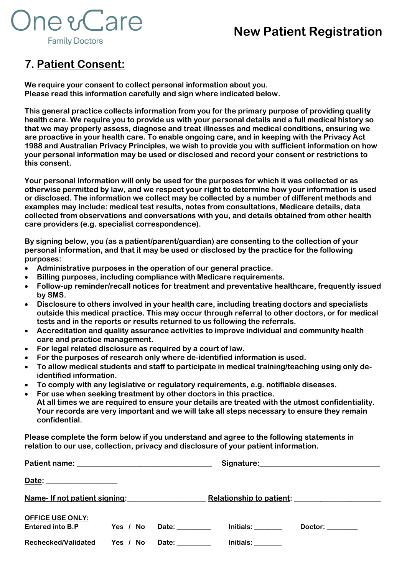### **New Patient Registration**



#### **7. Patient Consent:**

**We require your consent to collect personal information about you. Please read this information carefully and sign where indicated below.**

**This general practice collects information from you for the primary purpose of providing quality health care. We require you to provide us with your personal details and a full medical history so that we may properly assess, diagnose and treat illnesses and medical conditions, ensuring we are proactive in your health care. To enable ongoing care, and in keeping with the Privacy Act 1988 and Australian Privacy Principles, we wish to provide you with sufficient information on how your personal information may be used or disclosed and record your consent or restrictions to this consent.**

**Your personal information will only be used for the purposes for which it was collected or as otherwise permitted by law, and we respect your right to determine how your information is used or disclosed. The information we collect may be collected by a number of different methods and examples may include: medical test results, notes from consultations, Medicare details, data collected from observations and conversations with you, and details obtained from other health care providers (e.g. specialist correspondence).** 

**By signing below, you (as a patient/parent/guardian) are consenting to the collection of your personal information, and that it may be used or disclosed by the practice for the following purposes:**

- **Administrative purposes in the operation of our general practice.**
- **Billing purposes, including compliance with Medicare requirements.**
- **Follow-up reminder/recall notices for treatment and preventative healthcare, frequently issued by SMS.**
- **Disclosure to others involved in your health care, including treating doctors and specialists outside this medical practice. This may occur through referral to other doctors, or for medical tests and in the reports or results returned to us following the referrals.**
- **Accreditation and quality assurance activities to improve individual and community health care and practice management.**
- **For legal related disclosure as required by a court of law.**
- **For the purposes of research only where de-identified information is used.**
- **To allow medical students and staff to participate in medical training/teaching using only deidentified information.**
- **To comply with any legislative or regulatory requirements, e.g. notifiable diseases.**
- **For use when seeking treatment by other doctors in this practice. At all times we are required to ensure your details are treated with the utmost confidentiality. Your records are very important and we will take all steps necessary to ensure they remain confidential.**

**Please complete the form below if you understand and agree to the following statements in relation to our use, collection, privacy and disclosure of your patient information.**

| Patient name:<br><u> 1989 - Jan Samuel Barbara, margaret eta idazlea (h. 1982).</u>                |          |  | Signature:<br><u> 1980 - Jan Barnett, fransk politik (f. 1980)</u> |                                                                                                                                                                                                                                |  |  |
|----------------------------------------------------------------------------------------------------|----------|--|--------------------------------------------------------------------|--------------------------------------------------------------------------------------------------------------------------------------------------------------------------------------------------------------------------------|--|--|
| Date:<br>the control of the control of the control of the control of the control of the control of |          |  |                                                                    |                                                                                                                                                                                                                                |  |  |
| Name-If not patient signing:<br>Name-If not patient signing:                                       |          |  |                                                                    | Relationship to patient: Network and Selections and Selections and Selections and Selections and Selections and Selections and Selections and Selections and Selections and Selections and Selections and Selections and Selec |  |  |
| <b>OFFICE USE ONLY:</b>                                                                            |          |  |                                                                    |                                                                                                                                                                                                                                |  |  |
| Entered into B.P                                                                                   | Yes / No |  | Initials: <b>Alice 1999</b>                                        | Doctor: ________                                                                                                                                                                                                               |  |  |
| <b>Rechecked/Validated</b>                                                                         | Yes / No |  | Initials:                                                          |                                                                                                                                                                                                                                |  |  |